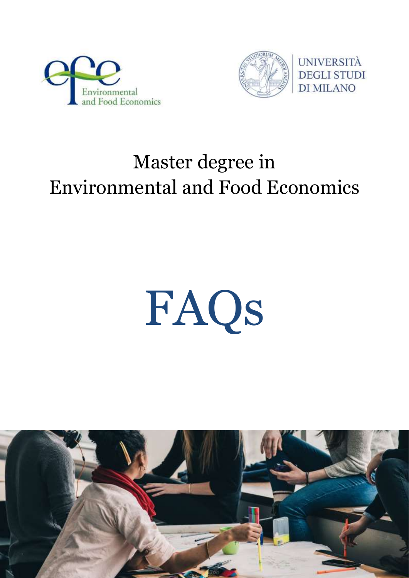



## Master degree in Environmental and Food Economics

# FAQs

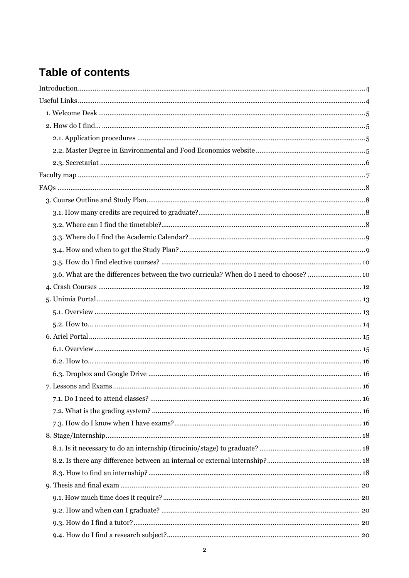### **Table of contents**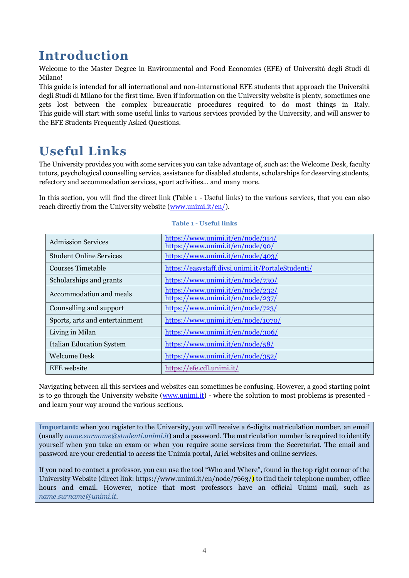### <span id="page-3-0"></span>**Introduction**

Welcome to the Master Degree in Environmental and Food Economics (EFE) of Università degli Studi di Milano!

This guide is intended for all international and non-international EFE students that approach the Università degli Studi di Milano for the first time. Even if information on the University website is plenty, sometimes one gets lost between the complex bureaucratic procedures required to do most things in Italy. This guide will start with some useful links to various services provided by the University, and will answer to the EFE Students Frequently Asked Questions.

### <span id="page-3-1"></span>**Useful Links**

The University provides you with some services you can take advantage of, such as: the Welcome Desk, faculty tutors, psychological counselling service, assistance for disabled students, scholarships for deserving students, refectory and accommodation services, sport activities… and many more.

In this section, you will find the direct link (Table 1 - [Useful links\)](#page-3-2) to the various services, that you can also reach directly from the University website [\(www.unimi.it/en/\)](http://www.unimi.it/en/).

<span id="page-3-2"></span>

| <b>Admission Services</b>       | https://www.unimi.it/en/node/314/<br>https://www.unimi.it/en/node/90/  |
|---------------------------------|------------------------------------------------------------------------|
| <b>Student Online Services</b>  | https://www.unimi.it/en/node/403/                                      |
| Courses Timetable               | https://easystaff.divsi.unimi.it/PortaleStudenti/                      |
| Scholarships and grants         | https://www.unimi.it/en/node/730/                                      |
| Accommodation and meals         | https://www.unimi.it/en/node/232/<br>https://www.unimi.it/en/node/237/ |
| Counselling and support         | https://www.unimi.it/en/node/723/                                      |
| Sports, arts and entertainment  | https://www.unimi.it/en/node/1070/                                     |
| Living in Milan                 | https://www.unimi.it/en/node/306/                                      |
| <b>Italian Education System</b> | https://www.unimi.it/en/node/58/                                       |
| Welcome Desk                    | https://www.unimi.it/en/node/352/                                      |
| <b>EFE</b> website              | https://efe.cdl.unimi.it/                                              |

#### **Table 1 - Useful links**

Navigating between all this services and websites can sometimes be confusing. However, a good starting point is to go through the University website [\(www.unimi.it\)](http://www.unimi.it/) - where the solution to most problems is presented and learn your way around the various sections.

**Important:** when you register to the University, you will receive a 6-digits matriculation number, an email (usually *name.surname@studenti.unimi.it*) and a password. The matriculation number is required to identify yourself when you take an exam or when you require some services from the Secretariat. The email and password are your credential to access the Unimia portal, Ariel websites and online services.

If you need to contact a professor, you can use the tool "Who and Where", found in the top right corner of the University Website (direct link: https://www.unimi.it/en/node/7663/) to find their telephone number, office hours and email. However, notice that most professors have an official Unimi mail, such as *name.surname@unimi.it*.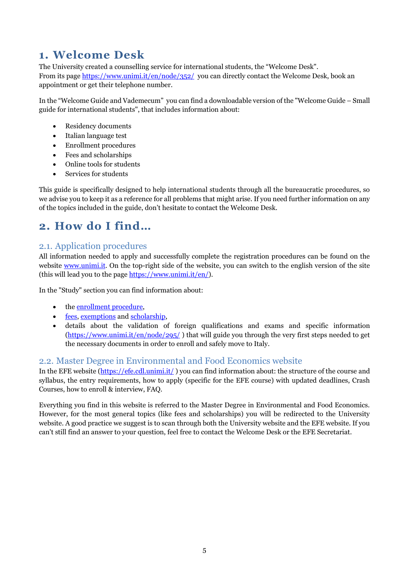### <span id="page-4-0"></span>**1. Welcome Desk**

The University created a counselling service for international students, the "Welcome Desk". From its page <https://www.unimi.it/en/node/352/> you can directly contact the Welcome Desk, book an appointment or get their telephone number.

In the "Welcome Guide and Vademecum" you can find a downloadable version of the "Welcome Guide – Small guide for international students", that includes information about:

- Residency documents
- Italian language test
- Enrollment procedures
- Fees and scholarships
- Online tools for students
- Services for students

This guide is specifically designed to help international students through all the bureaucratic procedures, so we advise you to keep it as a reference for all problems that might arise. If you need further information on any of the topics included in the guide, don't hesitate to contact the Welcome Desk.

### <span id="page-4-1"></span>**2. How do I find…**

### <span id="page-4-2"></span>2.1. Application procedures

All information needed to apply and successfully complete the registration procedures can be found on the website [www.unimi.it.](http://www.unimi.it/) On the top-right side of the website, you can switch to the english version of the site (this will lead you to the page [https://www.unimi.it/en/\)](http://www.unimi.it/ENG/).

In the "Study" section you can find information about:

- th[e enrollment procedure,](https://www.unimi.it/en/node/92/)
- [fees,](https://www.unimi.it/en/node/109/) [exemptions](https://www.unimi.it/node/115/) and [scholarship,](https://www.unimi.it/it/node/730/)
- details about the validation of foreign qualifications and exams and specific information [\(https://www.unimi.it/en/node/295/](https://www.unimi.it/en/node/295/) ) that will guide you through the very first steps needed to get the necessary documents in order to enroll and safely move to Italy.

### <span id="page-4-3"></span>2.2. Master Degree in Environmental and Food Economics website

In the EFE website [\(https://efe.cdl.unimi.it/](https://efe.cdl.unimi.it/)) you can find information about: the structure of the course and syllabus, the entry requirements, how to apply (specific for the EFE course) with updated deadlines, Crash Courses, how to enroll & interview, FAQ.

<span id="page-4-4"></span>Everything you find in this website is referred to the Master Degree in Environmental and Food Economics. However, for the most general topics (like fees and scholarships) you will be redirected to the University website. A good practice we suggest is to scan through both the University website and the EFE website. If you can't still find an answer to your question, feel free to contact the Welcome Desk or the EFE Secretariat.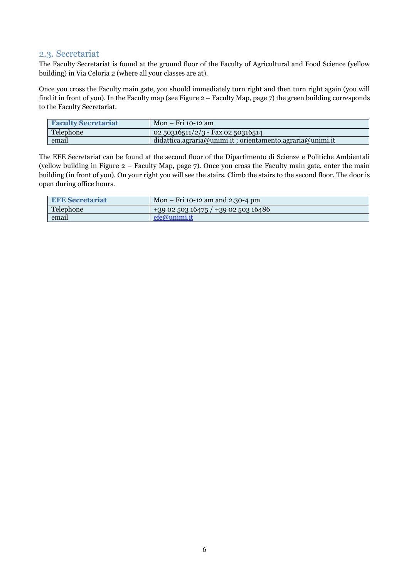### <span id="page-5-0"></span>2.3. Secretariat

The Faculty Secretariat is found at the ground floor of the Faculty of Agricultural and Food Science (yellow building) in Via Celoria 2 (where all your classes are at).

Once you cross the Faculty main gate, you should immediately turn right and then turn right again (you will find it in front of you). In the Faculty map (see Figure 2 – Faculty Map, page 7) the green building corresponds to the Faculty Secretariat.

| <b>Faculty Secretariat</b> | Mon – Fri 10-12 am                                        |
|----------------------------|-----------------------------------------------------------|
| Telephone                  | 02 50316511/2/3 - Fax 02 50316514                         |
| email                      | didattica.agraria@unimi.it; orientamento.agraria@unimi.it |

The EFE Secretariat can be found at the second floor of the Dipartimento di Scienze e Politiche Ambientali (yellow building in Figure 2 – Faculty Map, page 7). Once you cross the Faculty main gate, enter the main building (in front of you). On your right you will see the stairs. Climb the stairs to the second floor. The door is open during office hours.

| <b>EFE Secretariat</b> | $\sim$ Mon – Fri 10-12 am and 2.30-4 pm |
|------------------------|-----------------------------------------|
| Telephone              | $+390250316475/+390250316486$           |
| email                  | efe@unimi.it                            |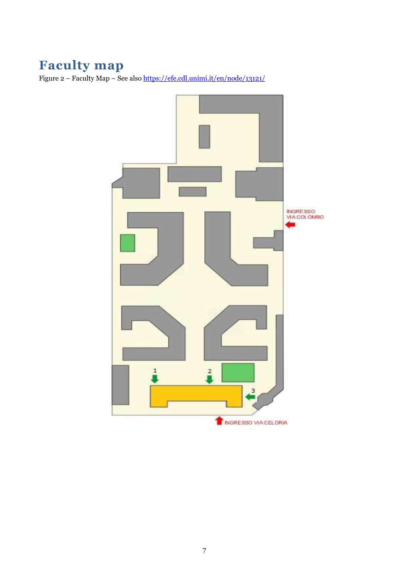### <span id="page-6-0"></span>**Faculty map**

Figure 2 – Faculty Map – See als[o https://efe.cdl.unimi.it/en/node/13121/](https://efe.cdl.unimi.it/en/node/13121/)

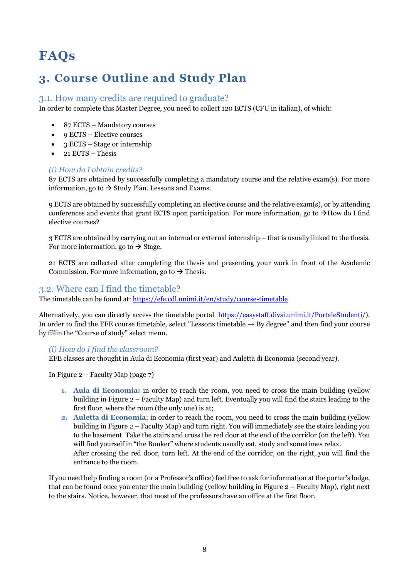### <span id="page-7-0"></span>**FAQs**

### <span id="page-7-1"></span>**3. Course Outline and Study Plan**

### <span id="page-7-2"></span>3.1. How many credits are required to graduate?

In order to complete this Master Degree, you need to collect 120 ECTS (CFU in italian), of which:

- 87 ECTS Mandatory courses
- $\bullet$  9 ECTS Elective courses
- 3 ECTS Stage or internship
- $\bullet$  21 ECTS Thesis

#### *(i) How do I obtain credits?*

87 ECTS are obtained by successfully completing a mandatory course and the relative exam(s). For more information, go to  $\rightarrow$  Study Plan, Lessons and Exams.

9 ECTS are obtained by successfully completing an elective course and the relative exam(s), or by attending conferences and events that grant ECTS upon participation. For more information, go to  $\rightarrow$  How do I find [elective courses?](#page-9-0)

3 ECTS are obtained by carrying out an internal or external internship – that is usually linked to the thesis. For more information, go to  $\rightarrow$  Stage.

21 ECTS are collected after completing the thesis and presenting your work in front of the Academic Commission. For more information, go to  $\rightarrow$  Thesis.

### <span id="page-7-3"></span>3.2. Where can I find the timetable?

The timetable can be found at[: https://efe.cdl.unimi.it/en/study/course-timetable](https://efe.cdl.unimi.it/en/study/course-timetable9)

Alternatively, you can directly access the timetable portal [https://easystaff.divsi.unimi.it/PortaleStudenti/\)](https://easystaff.divsi.unimi.it/PortaleStudenti/). In order to find the EFE course timetable, select "Lessons timetable  $\rightarrow$  By degree" and then find your course by fillin the "Course of study" select menu.

### *(i) How do I find the classroom?*

EFE classes are thought in Aula di Economia (first year) and Auletta di Economia (second year).

In Figure 2 – Faculty Map (page 7)

- **1. Aula di Economia:** in order to reach the room, you need to cross the main building (yellow building in Figure 2 – Faculty Map) and turn left. Eventually you will find the stairs leading to the first floor, where the room (the only one) is at;
- **2. Auletta di Economia**: in order to reach the room, you need to cross the main building (yellow building in Figure 2 – Faculty Map) and turn right. You will immediately see the stairs leading you to the basement. Take the stairs and cross the red door at the end of the corridor (on the left). You will find yourself in "the Bunker" where students usually eat, study and sometimes relax. After crossing the red door, turn left. At the end of the corridor, on the right, you will find the entrance to the room.

If you need help finding a room (or a Professor's office) feel free to ask for information at the porter's lodge, that can be found once you enter the main building (yellow building in Figure 2 – Faculty Map), right next to the stairs. Notice, however, that most of the professors have an office at the first floor.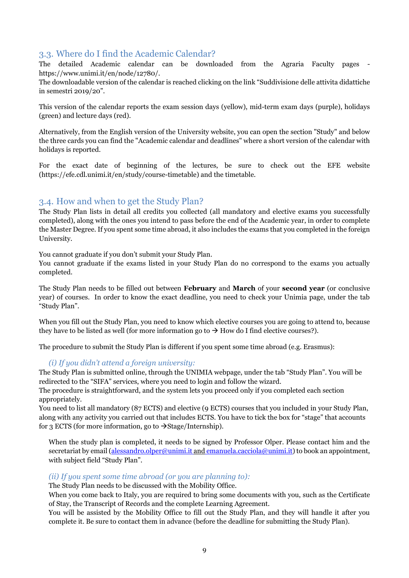### <span id="page-8-0"></span>3.3. Where do I find the Academic Calendar?

The detailed Academic calendar can be downloaded from the Agraria Faculty pages https://www.unimi.it/en/node/12780/.

The downloadable version of the calendar is reached clicking on the link "Suddivisione delle attivita didattiche in semestri 2019/20".

This version of the calendar reports the exam session days (yellow), mid-term exam days (purple), holidays (green) and lecture days (red).

Alternatively, from the English version of the University website, you can open the section "Study" and below the three cards you can find the "Academic calendar and deadlines" where a short version of the calendar with holidays is reported.

For the exact date of beginning of the lectures, be sure to check out the EFE website [\(https://efe.cdl.unimi.it/en/study/course-timetable\)](https://efe.cdl.unimi.it/en/study/course-timetable) and the timetable.

### <span id="page-8-1"></span>3.4. How and when to get the Study Plan?

The Study Plan lists in detail all credits you collected (all mandatory and elective exams you successfully completed), along with the ones you intend to pass before the end of the Academic year, in order to complete the Master Degree. If you spent some time abroad, it also includes the exams that you completed in the foreign University.

You cannot graduate if you don't submit your Study Plan.

You cannot graduate if the exams listed in your Study Plan do no correspond to the exams you actually completed.

The Study Plan needs to be filled out between **February** and **March** of your **second year** (or conclusive year) of courses. In order to know the exact deadline, you need to check your Unimia page, under the tab "Study Plan".

When you fill out the Study Plan, you need to know which elective courses you are going to attend to, because they have to be listed as well (for more information go to  $\rightarrow$  How do I find elective courses?).

The procedure to submit the Study Plan is different if you spent some time abroad (e.g. Erasmus):

### *(i) If you didn't attend a foreign university:*

The Study Plan is submitted online, through the UNIMIA webpage, under the tab "Study Plan". You will be redirected to the "SIFA" services, where you need to login and follow the wizard.

The procedure is straightforward, and the system lets you proceed only if you completed each section appropriately.

You need to list all mandatory (87 ECTS) and elective (9 ECTS) courses that you included in your Study Plan, along with any activity you carried out that includes ECTS. You have to tick the box for "stage" that accounts for 3 ECTS (for more information, go to  $\rightarrow$  Stage/Internship).

When the study plan is completed, it needs to be signed by Professor Olper. Please contact him and the secretariat by email [\(alessandro.olper@unimi.it](mailto:alessandro.olper@unimi.it) and emanuela.cacciola@unimi.it) to book an appointment, with subject field "Study Plan".

### *(ii) If you spent some time abroad (or you are planning to):*

The Study Plan needs to be discussed with the Mobility Office.

When you come back to Italy, you are required to bring some documents with you, such as the Certificate of Stay, the Transcript of Records and the complete Learning Agreement.

You will be assisted by the Mobility Office to fill out the Study Plan, and they will handle it after you complete it. Be sure to contact them in advance (before the deadline for submitting the Study Plan).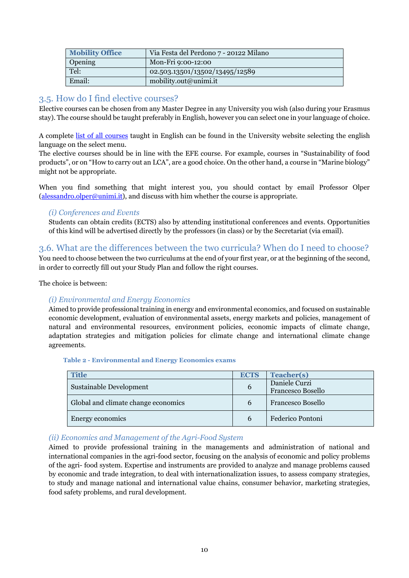| <b>Mobility Office</b> | Via Festa del Perdono 7 - 20122 Milano |
|------------------------|----------------------------------------|
| Opening                | Mon-Fri 9:00-12:00                     |
| Tel:                   | 02.503.13501/13502/13495/12589         |
| Email:                 | mobility.out@unimi.it                  |

### <span id="page-9-0"></span>3.5. How do I find elective courses?

Elective courses can be chosen from any Master Degree in any University you wish (also during your Erasmus stay). The course should be taught preferably in English, however you can select one in your language of choice.

A complete [list of all courses](https://www.unimi.it/en/node/1074/) taught in English can be found in the University website selecting the english language on the select menu.

The elective courses should be in line with the EFE course. For example, courses in "Sustainability of food products", or on "How to carry out an LCA", are a good choice. On the other hand, a course in "Marine biology" might not be appropriate.

When you find something that might interest you, you should contact by email Professor Olper  $(alessandro. olper@unimi.it)$ , and discuss with him whether the course is appropriate.

#### *(i) Conferences and Events*

Students can obtain credits (ECTS) also by attending institutional conferences and events. Opportunities of this kind will be advertised directly by the professors (in class) or by the Secretariat (via email).

### <span id="page-9-1"></span>3.6. What are the differences between the two curricula? When do I need to choose?

You need to choose between the two curriculums at the end of your first year, or at the beginning of the second, in order to correctly fill out your Study Plan and follow the right courses.

The choice is between:

### *(i) Environmental and Energy Economics*

Aimed to provide professional training in energy and environmental economics, and focused on sustainable economic development, evaluation of environmental assets, energy markets and policies, management of natural and environmental resources, environment policies, economic impacts of climate change, adaptation strategies and mitigation policies for climate change and international climate change agreements.

#### **Table 2 - Environmental and Energy Economics exams**

| <b>Title</b>                        | <b>ECTS</b>   | Teacher(s)                         |
|-------------------------------------|---------------|------------------------------------|
| Sustainable Development             | $\mathbf b$   | Daniele Curzi<br>Francesco Bosello |
| Global and climate change economics | $\mathfrak b$ | Francesco Bosello                  |
| Energy economics                    | $\mathfrak b$ | Federico Pontoni                   |

### *(ii) Economics and Management of the Agri-Food System*

Aimed to provide professional training in the managements and administration of national and international companies in the agri-food sector, focusing on the analysis of economic and policy problems of the agri- food system. Expertise and instruments are provided to analyze and manage problems caused by economic and trade integration, to deal with internationalization issues, to assess company strategies, to study and manage national and international value chains, consumer behavior, marketing strategies, food safety problems, and rural development.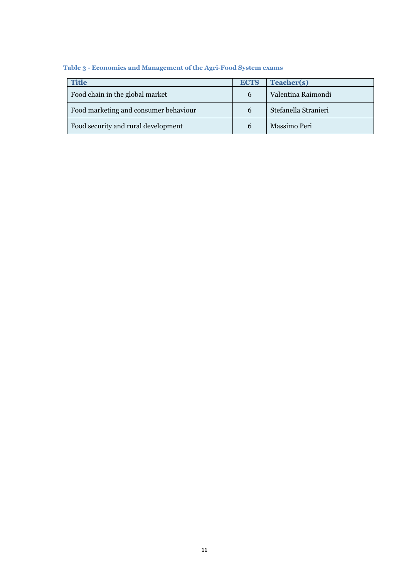### **Table 3 - Economics and Management of the Agri-Food System exams**

| <b>Title</b>                          | <b>ECTS</b> | <b>Teacher(s)</b>    |
|---------------------------------------|-------------|----------------------|
| Food chain in the global market       | 6           | Valentina Raimondi   |
| Food marketing and consumer behaviour | b           | Stefanella Stranieri |
| Food security and rural development   | b           | Massimo Peri         |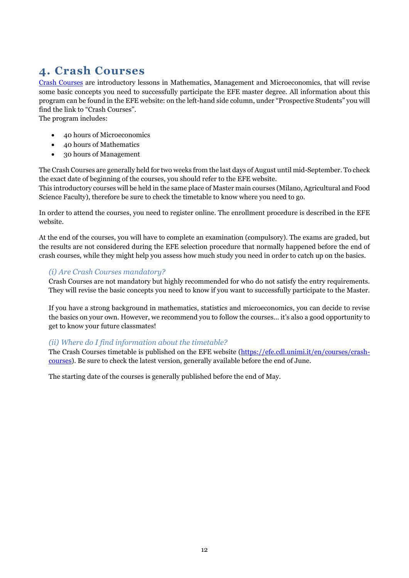### <span id="page-11-0"></span>**4. Crash Courses**

[Crash Courses](https://efe.cdl.unimi.it/en/node/13219/) are introductory lessons in Mathematics, Management and Microeconomics, that will revise some basic concepts you need to successfully participate the EFE master degree. All information about this program can be found in the EFE website: on the left-hand side column, under "Prospective Students" you will find the link to "Crash Courses".

The program includes:

- 40 hours of Microeconomics
- 40 hours of Mathematics
- 30 hours of Management

The Crash Courses are generally held for two weeks from the last days of August until mid-September. To check the exact date of beginning of the courses, you should refer to the EFE website.

This introductory courses will be held in the same place of Master main courses (Milano, Agricultural and Food Science Faculty), therefore be sure to check the timetable to know where you need to go.

In order to attend the courses, you need to register online. The enrollment procedure is described in the EFE website.

At the end of the courses, you will have to complete an examination (compulsory). The exams are graded, but the results are not considered during the EFE selection procedure that normally happened before the end of crash courses, while they might help you assess how much study you need in order to catch up on the basics.

### *(i) Are Crash Courses mandatory?*

Crash Courses are not mandatory but highly recommended for who do not satisfy the entry requirements. They will revise the basic concepts you need to know if you want to successfully participate to the Master.

If you have a strong background in mathematics, statistics and microeconomics, you can decide to revise the basics on your own. However, we recommend you to follow the courses… it's also a good opportunity to get to know your future classmates!

### *(ii) Where do I find information about the timetable?*

The Crash Courses timetable is published on the EFE website [\(https://efe.cdl.unimi.it/en/courses/crash](https://efe.cdl.unimi.it/en/courses/crash-courses)[courses\)](https://efe.cdl.unimi.it/en/courses/crash-courses). Be sure to check the latest version, generally available before the end of June.

The starting date of the courses is generally published before the end of May.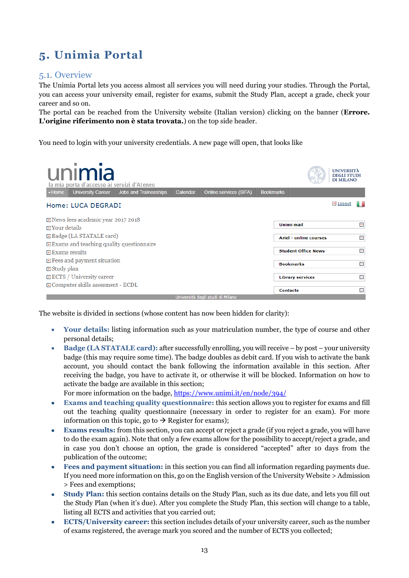### <span id="page-12-0"></span>**5. Unimia Portal**

### <span id="page-12-1"></span>5.1. Overview

The Unimia Portal lets you access almost all services you will need during your studies. Through the Portal, you can access your university email, register for exams, submit the Study Plan, accept a grade, check your career and so on.

The portal can be reached from the University website (Italian version) clicking on the banner (**Errore. L'origine riferimento non è stata trovata.**) on the top side header.

You need to login with your university credentials. A new page will open, that looks like

| ٠<br>unimia<br>la mia porta d'accesso ai servizi d'Ateneo<br><b>University Career</b><br>- Home | Jobs and Traineeships | Calendar | Online services (SIFA)           | <b>Bookmarks</b> |                               | <b>UNIVERSITÀ</b><br><b>DEGLI STUDI</b><br><b>DI MILANO</b> |       |
|-------------------------------------------------------------------------------------------------|-----------------------|----------|----------------------------------|------------------|-------------------------------|-------------------------------------------------------------|-------|
| Home: LUCA DEGRADI                                                                              |                       |          |                                  |                  |                               | X Logout                                                    |       |
| <b>⊞</b> News fees academic year 2017 2018<br><b>Expansive Your details</b>                     |                       |          |                                  |                  | Unimi mail                    |                                                             | $+$   |
| <b>E</b> Badge (LA STATALE card)                                                                |                       |          |                                  |                  | <b>Ariel - online courses</b> |                                                             | $\pm$ |
| $\overline{H}$ Exams and teaching quality questionnaire<br>国 Exams results                      |                       |          |                                  |                  | <b>Student Office News</b>    |                                                             | $\pm$ |
| $\mathbf{F}$ Fees and payment situation                                                         |                       |          |                                  |                  |                               |                                                             |       |
| 田 Study plan                                                                                    |                       |          |                                  |                  | <b>Bookmarks</b>              |                                                             | $+$   |
| 日 ECTS / University career                                                                      |                       |          |                                  |                  | <b>Library services</b>       |                                                             | $+$   |
| <b>E</b> Computer skills assesment - ECDL                                                       |                       |          |                                  |                  | <b>Contacts</b>               |                                                             | $\pm$ |
|                                                                                                 |                       |          | Hniversità degli studi di Milano |                  |                               |                                                             |       |

The website is divided in sections (whose content has now been hidden for clarity):

- **Your details:** listing information such as your matriculation number, the type of course and other personal details;
- **Badge (LA STATALE card):** after successfully enrolling, you will receive by post your university badge (this may require some time). The badge doubles as debit card. If you wish to activate the bank account, you should contact the bank following the information available in this section. After receiving the badge, you have to activate it, or otherwise it will be blocked. Information on how to activate the badge are available in this section;

For more information on the badge,<https://www.unimi.it/en/node/394/>

- **Exams and teaching quality questionnaire:** this section allows you to register for exams and fill out the teaching quality questionnaire (necessary in order to register for an exam). For more information on this topic, go to  $\rightarrow$  [Register for exams\)](#page-13-1);
- **Exams results:** from this section, you can accept or reject a grade (if you reject a grade, you will have to do the exam again). Note that only a few exams allow for the possibility to accept/reject a grade, and in case you don't choose an option, the grade is considered "accepted" after 10 days from the publication of the outcome;
- **Fees and payment situation:** in this section you can find all information regarding payments due. If you need more information on this, go on the English version of the University Website > Admission > Fees and exemptions;
- **Study Plan:** this section contains details on the Study Plan, such as its due date, and lets you fill out the Study Plan (when it's due). After you complete the Study Plan, this section will change to a table, listing all ECTS and activities that you carried out;
- **ECTS/University career:** this section includes details of your university career, such as the number of exams registered, the average mark you scored and the number of ECTS you collected;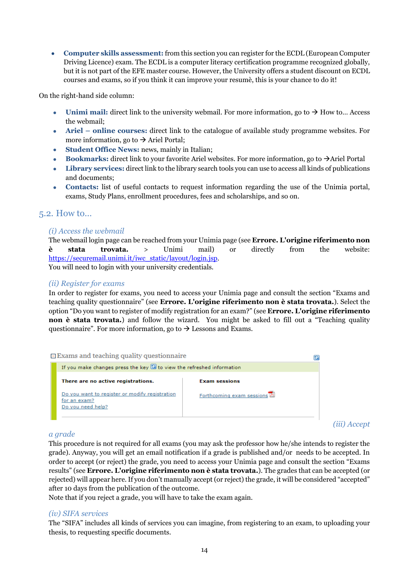**Computer skills assessment:** from this section you can register for the ECDL (European Computer Driving Licence) exam. The ECDL is a computer literacy certification programme recognized globally, but it is not part of the EFE master course. However, the University offers a student discount on ECDL courses and exams, so if you think it can improve your resumè, this is your chance to do it!

On the right-hand side column:

- **Unimi mail:** direct link to the university webmail. For more information, go to  $\rightarrow$  How to... Access [the webmail;](#page-13-2)
- **Ariel – online courses:** direct link to the catalogue of available study programme websites. For more information, go to  $\rightarrow$  Ariel Portal;
- **Student Office News:** news, mainly in Italian;
- **Bookmarks:** direct link to your favorite Ariel websites. For more information, go to  $\rightarrow$  Ariel Portal
- **Library services:** direct link to the library search tools you can use to access all kinds of publications and documents;
- **Contacts:** list of useful contacts to request information regarding the use of the Unimia portal, exams, Study Plans, enrollment procedures, fees and scholarships, and so on.

### <span id="page-13-2"></span><span id="page-13-0"></span>5.2. How to…

### *(i) Access the webmail*

The webmail login page can be reached from your Unimia page (see **Errore. L'origine riferimento non è stata trovata.** > Unimi mail) or directly from the website: [https://securemail.unimi.it/iwc\\_static/layout/login.jsp.](https://securemail.unimi.it/iwc_static/layout/login.jsp)

You will need to login with your university credentials.

### <span id="page-13-1"></span>*(ii) Register for exams*

In order to register for exams, you need to access your Unimia page and consult the section "Exams and teaching quality questionnaire" (see **Errore. L'origine riferimento non è stata trovata.**). Select the option "Do you want to register of modify registration for an exam?" (see **Errore. L'origine riferimento non è stata trovata.**) and follow the wizard. You might be asked to fill out a "Teaching quality questionnaire". For more information, go to  $\rightarrow$  Lessons and Exams.

| ⊟ Exams and teaching quality questionnaire                                    |                           |
|-------------------------------------------------------------------------------|---------------------------|
| If you make changes press the key $\boxdot$ to view the refreshed information |                           |
| There are no active registrations.                                            | <b>Exam sessions</b>      |
| Do you want to register or modify registration<br>for an exam?                | Forthcoming exam sessions |
| Do you need help?                                                             |                           |

*(iii) Accept* 

### *a grade*

This procedure is not required for all exams (you may ask the professor how he/she intends to register the grade). Anyway, you will get an email notification if a grade is published and/or needs to be accepted. In order to accept (or reject) the grade, you need to access your Unimia page and consult the section "Exams results" (see **Errore. L'origine riferimento non è stata trovata.**). The grades that can be accepted (or rejected) will appear here. If you don't manually accept (or reject) the grade, it will be considered "accepted" after 10 days from the publication of the outcome.

Note that if you reject a grade, you will have to take the exam again.

### *(iv) SIFA services*

The "SIFA" includes all kinds of services you can imagine, from registering to an exam, to uploading your thesis, to requesting specific documents.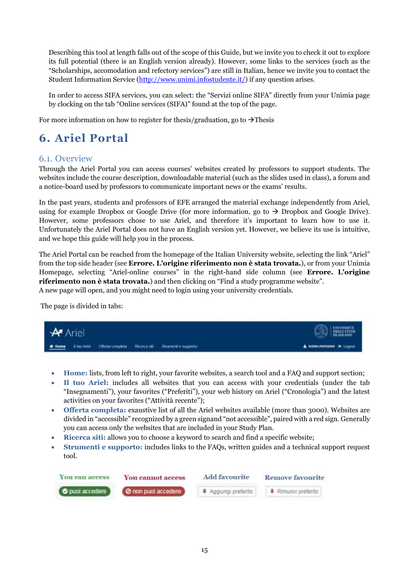Describing this tool at length falls out of the scope of this Guide, but we invite you to check it out to explore its full potential (there is an English version already). However, some links to the services (such as the "Scholarships, accomodation and refectory services") are still in Italian, hence we invite you to contact the Student Information Service [\(http://www.unimi.infostudente.it/\)](http://www.unimi.infostudente.it/) if any question arises.

In order to access SIFA services, you can select: the "Servizi online SIFA" directly from your Unimia page by clocking on the tab "Online services (SIFA)" found at the top of the page.

For more information on how to register for thesis/graduation, go to  $\rightarrow$  Thesis

### <span id="page-14-0"></span>**6. Ariel Portal**

### <span id="page-14-1"></span>6.1. Overview

Through the Ariel Portal you can access courses' websites created by professors to support students. The websites include the course description, downloadable material (such as the slides used in class), a forum and a notice-board used by professors to communicate important news or the exams' results.

In the past years, students and professors of EFE arranged the material exchange independently from Ariel, using for example Dropbox or Google Drive (for more information, go to  $\rightarrow$  Dropbox and Google Drive). However, some professors chose to use Ariel, and therefore it's important to learn how to use it. Unfortunately the Ariel Portal does not have an English version yet. However, we believe its use is intuitive, and we hope this guide will help you in the process.

The Ariel Portal can be reached from the homepage of the Italian University website, selecting the link "Ariel" from the top side header (see **Errore. L'origine riferimento non è stata trovata.**), or from your Unimia Homepage, selecting "Ariel-online courses" in the right-hand side column (see **Errore. L'origine riferimento non è stata trovata.**) and then clicking on "Find a study programme website". A new page will open, and you might need to login using your university credentials.

The page is divided in tabs:

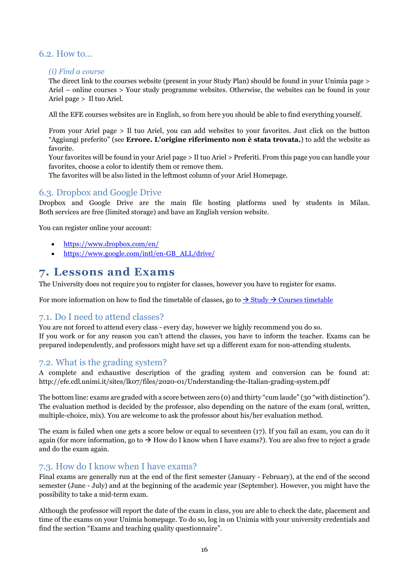### <span id="page-15-0"></span>6.2. How to…

#### *(i) Find a course*

The direct link to the courses website (present in your Study Plan) should be found in your Unimia page > Ariel – online courses > Your study programme websites. Otherwise, the websites can be found in your Ariel page > Il tuo Ariel.

All the EFE courses websites are in English, so from here you should be able to find everything yourself.

From your Ariel page > Il tuo Ariel, you can add websites to your favorites. Just click on the button "Aggiungi preferito" (see **Errore. L'origine riferimento non è stata trovata.**) to add the website as favorite.

Your favorites will be found in your Ariel page > Il tuo Ariel > Preferiti. From this page you can handle your favorites, choose a color to identify them or remove them.

The favorites will be also listed in the leftmost column of your Ariel Homepage.

### <span id="page-15-1"></span>6.3. Dropbox and Google Drive

Dropbox and Google Drive are the main file hosting platforms used by students in Milan. Both services are free (limited storage) and have an English version website.

You can register online your account:

- <https://www.dropbox.com/en/>
- [https://www.google.com/intl/en-GB\\_ALL/drive/](https://www.google.com/intl/en-GB_ALL/drive/)

### <span id="page-15-2"></span>**7. Lessons and Exams**

The University does not require you to register for classes, however you have to register for exams.

For more information on how to find the timetable of classes, go to  $\rightarrow$  Study  $\rightarrow$  Courses timetable

### <span id="page-15-3"></span>7.1. Do I need to attend classes?

You are not forced to attend every class - every day, however we highly recommend you do so. If you work or for any reason you can't attend the classes, you have to inform the teacher. Exams can be prepared independently, and professors might have set up a different exam for non-attending students.

### <span id="page-15-4"></span>7.2. What is the grading system?

A complete and exhaustive description of the grading system and conversion can be found at: http://efe.cdl.unimi.it/sites/lk07/files/2020-01/Understanding-the-Italian-grading-system.pdf

The bottom line: exams are graded with a score between zero (0) and thirty "cum laude" (30 "with distinction"). The evaluation method is decided by the professor, also depending on the nature of the exam (oral, written, multiple-choice, mix). You are welcome to ask the professor about his/her evaluation method.

The exam is failed when one gets a score below or equal to seventeen (17). If you fail an exam, you can do it again (for more information, go to  $\rightarrow$  How do I know when I have exams?). You are also free to reject a grade and do the exam again.

### <span id="page-15-5"></span>7.3. How do I know when I have exams?

Final exams are generally run at the end of the first semester (January - February), at the end of the second semester (June - July) and at the beginning of the academic year (September). However, you might have the possibility to take a mid-term exam.

Although the professor will report the date of the exam in class, you are able to check the date, placement and time of the exams on your Unimia homepage. To do so, log in on Unimia with your university credentials and find the section "Exams and teaching quality questionnaire".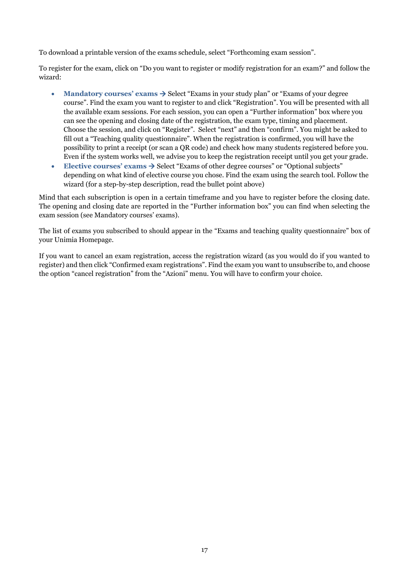To download a printable version of the exams schedule, select "Forthcoming exam session".

To register for the exam, click on "Do you want to register or modify registration for an exam?" and follow the wizard:

- Mandatory courses' exams  $\rightarrow$  Select "Exams in your study plan" or "Exams of your degree" course". Find the exam you want to register to and click "Registration". You will be presented with all the available exam sessions. For each session, you can open a "Further information" box where you can see the opening and closing date of the registration, the exam type, timing and placement. Choose the session, and click on "Register". Select "next" and then "confirm". You might be asked to fill out a "Teaching quality questionnaire". When the registration is confirmed, you will have the possibility to print a receipt (or scan a QR code) and check how many students registered before you. Even if the system works well, we advise you to keep the registration receipt until you get your grade.
- **Elective courses' exams**  $\rightarrow$  **Select "Exams of other degree courses" or "Optional subjects"** depending on what kind of elective course you chose. Find the exam using the search tool. Follow the wizard (for a step-by-step description, read the bullet point above)

Mind that each subscription is open in a certain timeframe and you have to register before the closing date. The opening and closing date are reported in the "Further information box" you can find when selecting the exam session (see Mandatory courses' exams).

The list of exams you subscribed to should appear in the "Exams and teaching quality questionnaire" box of your Unimia Homepage.

If you want to cancel an exam registration, access the registration wizard (as you would do if you wanted to register) and then click "Confirmed exam registrations". Find the exam you want to unsubscribe to, and choose the option "cancel registration" from the "Azioni" menu. You will have to confirm your choice.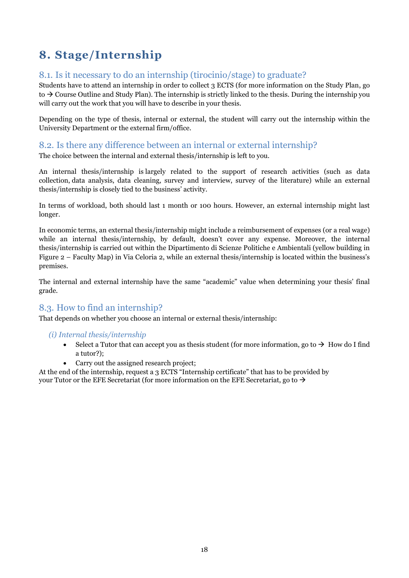### <span id="page-17-0"></span>**8. Stage/Internship**

### <span id="page-17-1"></span>8.1. Is it necessary to do an internship (tirocinio/stage) to graduate?

Students have to attend an internship in order to collect 3 ECTS (for more information on the Study Plan, go to  $\rightarrow$  [Course Outline and Study Plan\)](#page-7-1). The internship is strictly linked to the thesis. During the internship you will carry out the work that you will have to describe in your thesis.

Depending on the type of thesis, internal or external, the student will carry out the internship within the University Department or the external firm/office.

### <span id="page-17-2"></span>8.2. Is there any difference between an internal or external internship?

The choice between the internal and external thesis/internship is left to you.

An internal thesis/internship is largely related to the support of research activities (such as data collection, data analysis, data cleaning, survey and interview, survey of the literature) while an external thesis/internship is closely tied to the business' activity.

In terms of workload, both should last 1 month or 100 hours. However, an external internship might last longer.

In economic terms, an external thesis/internship might include a reimbursement of expenses (or a real wage) while an internal thesis/internship, by default, doesn't cover any expense. Moreover, the internal thesis/internship is carried out within the Dipartimento di Scienze Politiche e Ambientali (yellow building in Figure 2 – Faculty Map) in Via Celoria 2, while an external thesis/internship is located within the business's premises.

The internal and external internship have the same "academic" value when determining your thesis' final grade.

### <span id="page-17-3"></span>8.3. How to find an internship?

That depends on whether you choose an internal or external thesis/internship:

### *(i) Internal thesis/internship*

- Select a Tutor that can accept you as thesis student (for more information, go to  $\rightarrow$  How do I find [a tutor?\)](#page-21-6);
	- Carry out the assigned research project;

At the end of the internship, request a 3 ECTS "Internship certificate" that has to be provided by your Tutor or the EFE Secretariat (for more information on the EFE Secretariat, go to  $\rightarrow$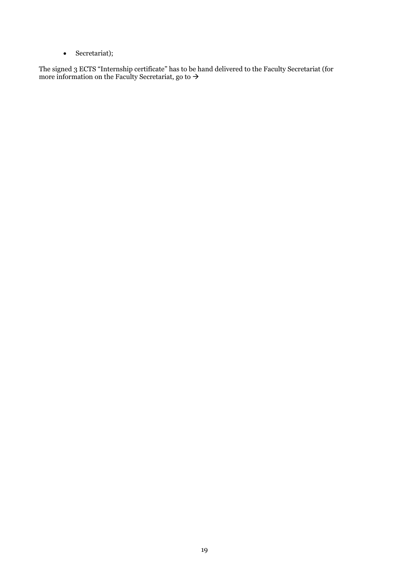• [Secretariat\)](#page-4-4);

The signed 3 ECTS "Internship certificate" has to be hand delivered to the Faculty Secretariat (for more information on the Faculty Secretariat, go to  $\rightarrow$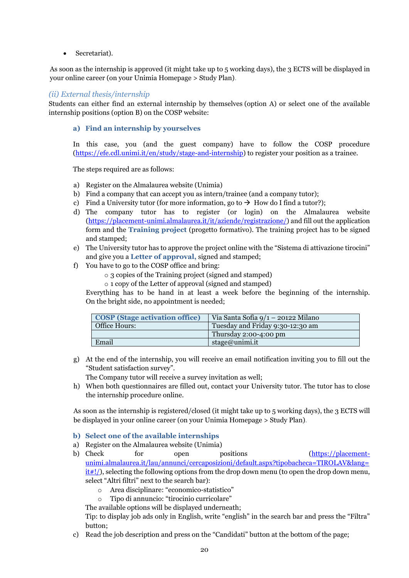• [Secretariat\)](#page-4-4).

As soon as the internship is approved (it might take up to 5 working days), the 3 ECTS will be displayed in your online career (on your Unimia Homepage > Study Plan).

#### *(ii) External thesis/internship*

<span id="page-19-0"></span>Students can either find an external internship by themselves (option A) or select one of the available internship positions (option B) on the COSP website:

#### **a) Find an internship by yourselves**

In this case, you (and the guest company) have to follow the COSP procedure [\(https://efe.cdl.unimi.it/en/study/stage-and-internship\)](https://efe.cdl.unimi.it/en/study/stage-and-internship) to register your position as a trainee.

The steps required are as follows:

- a) Register on the Almalaurea website (Unimia)
- b) Find a company that can accept you as intern/trainee (and a company tutor);
- c) Find a University tutor (for more information, go to  $\rightarrow$  [How do I find a tutor?\)](#page-21-6);
- d) The company tutor has to register (or login) on the Almalaurea website [\(https://placement-unimi.almalaurea.it/it/aziende/registrazione/\)](https://placement-unimi.almalaurea.it/it/aziende/registrazione/) and fill out the application form and the **Training project** (progetto formativo). The training project has to be signed and stamped;
- e) The University tutor has to approve the project online with the "Sistema di attivazione tirocini" and give you a **Letter of approval,** signed and stamped;
- f) You have to go to the COSP office and bring:
	- o 3 copies of the Training project (signed and stamped)
	- o 1 copy of the Letter of approval (signed and stamped)

Everything has to be hand in at least a week before the beginning of the internship. On the bright side, no appointment is needed;

| <b>COSP</b> (Stage activation office) | Via Santa Sofia $9/1 - 20122$ Milano |
|---------------------------------------|--------------------------------------|
| Office Hours:                         | Tuesday and Friday 9:30-12:30 am     |
|                                       | Thursday $2:00-4:00$ pm              |
| Email                                 | stage@unimi.it                       |

g) At the end of the internship, you will receive an email notification inviting you to fill out the "Student satisfaction survey".

The Company tutor will receive a survey invitation as well;

h) When both questionnaires are filled out, contact your University tutor. The tutor has to close the internship procedure online.

As soon as the internship is registered/closed (it might take up to 5 working days), the 3 ECTS will be displayed in your online career (on your Unimia Homepage > Study Plan).

### **b) Select one of the available internships**

- a) Register on the Almalaurea website (Unimia)
- b) Check for open positions [\(https://placement](https://placement-unimi.almalaurea.it/lau/annunci/cercaposizioni/default.aspx?tipobacheca=TIROLAV&lang=it#!/)[unimi.almalaurea.it/lau/annunci/cercaposizioni/default.aspx?tipobacheca=TIROLAV&lang=](https://placement-unimi.almalaurea.it/lau/annunci/cercaposizioni/default.aspx?tipobacheca=TIROLAV&lang=it#!/)  $it#!$ , selecting the following options from the drop down menu (to open the drop down menu, select "Altri filtri" next to the search bar):
	- o Area disciplinare: "economico-statistico"
	- o Tipo di annuncio: "tirocinio curricolare"

The available options will be displayed underneath;

Tip: to display job ads only in English, write "english" in the search bar and press the "Filtra" button;

c) Read the job description and press on the "Candidati" button at the bottom of the page;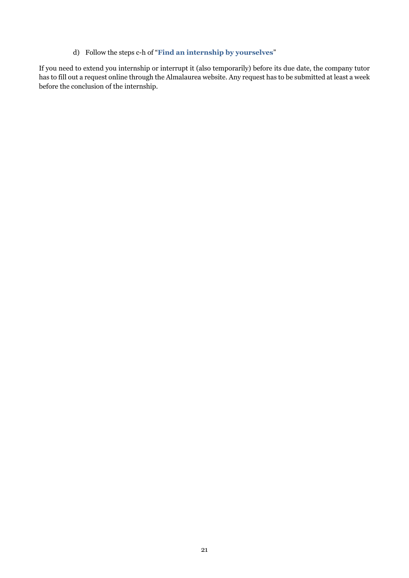d) Follow the steps c-h of "**[Find an internship by yourselves](#page-19-0)**"

If you need to extend you internship or interrupt it (also temporarily) before its due date, the company tutor has to fill out a request online through the Almalaurea website. Any request has to be submitted at least a week before the conclusion of the internship.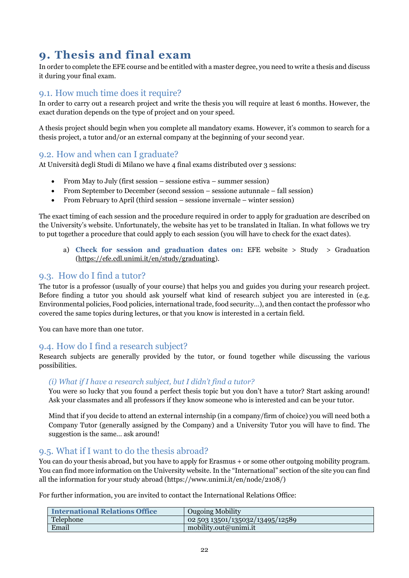### <span id="page-21-0"></span>**9. Thesis and final exam**

In order to complete the EFE course and be entitled with a master degree, you need to write a thesis and discuss it during your final exam.

### <span id="page-21-1"></span>9.1. How much time does it require?

In order to carry out a research project and write the thesis you will require at least 6 months. However, the exact duration depends on the type of project and on your speed.

A thesis project should begin when you complete all mandatory exams. However, it's common to search for a thesis project, a tutor and/or an external company at the beginning of your second year.

### <span id="page-21-2"></span>9.2. How and when can I graduate?

At Università degli Studi di Milano we have 4 final exams distributed over 3 sessions:

- From May to July (first session sessione estiva summer session)
- From September to December (second session sessione autunnale fall session)
- From February to April (third session sessione invernale winter session)

The exact timing of each session and the procedure required in order to apply for graduation are described on the University's website. Unfortunately, the website has yet to be translated in Italian. In what follows we try to put together a procedure that could apply to each session (you will have to check for the exact dates).

a) **Check for session and graduation dates on:** EFE website > Study > Graduation [\(https://efe.cdl.unimi.it/en/study/graduating\)](https://efe.cdl.unimi.it/en/study/graduating).

### <span id="page-21-6"></span><span id="page-21-3"></span>9.3. How do I find a tutor?

The tutor is a professor (usually of your course) that helps you and guides you during your research project. Before finding a tutor you should ask yourself what kind of research subject you are interested in (e.g. Environmental policies, Food policies, international trade, food security…), and then contact the professor who covered the same topics during lectures, or that you know is interested in a certain field.

You can have more than one tutor.

### <span id="page-21-4"></span>9.4. How do I find a research subject?

Research subjects are generally provided by the tutor, or found together while discussing the various possibilities.

### *(i) What if I have a research subject, but I didn't find a tutor?*

You were so lucky that you found a perfect thesis topic but you don't have a tutor? Start asking around! Ask your classmates and all professors if they know someone who is interested and can be your tutor.

Mind that if you decide to attend an external internship (in a company/firm of choice) you will need both a Company Tutor (generally assigned by the Company) and a University Tutor you will have to find. The suggestion is the same… ask around!

### <span id="page-21-5"></span>9.5. What if I want to do the thesis abroad?

You can do your thesis abroad, but you have to apply for Erasmus + or some other outgoing mobility program. You can find more information on the University website. In the "International" section of the site you can find all the information for your study abroad (https://www.unimi.it/en/node/2108/)

For further information, you are invited to contact the International Relations Office:

| <b>International Relations Office</b> | <b>Ougoing Mobility</b>         |
|---------------------------------------|---------------------------------|
| Telephone                             | 02 503 13501/135032/13495/12589 |
| Email                                 | mobility.out@unimi.it           |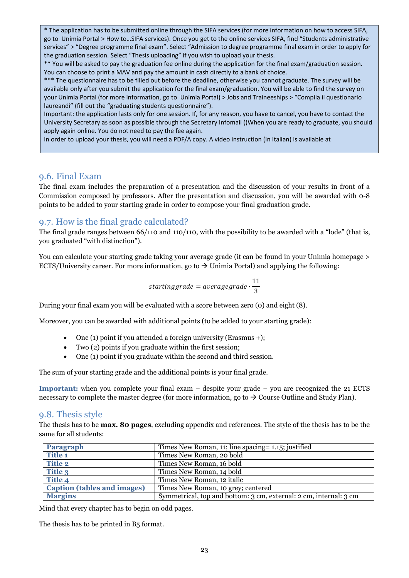\* The application has to be submitted online through the SIFA services (for more information on how to access SIFA, go to Unimia Portal > How to…SIFA services). Once you get to the online services SIFA, find "Students administrative services" > "Degree programme final exam". Select "Admission to degree programme final exam in order to apply for the graduation session. Select "Thesis uploading" if you wish to upload your thesis.

\*\* You will be asked to pay the graduation fee online during the application for the final exam/graduation session. You can choose to print a MAV and pay the amount in cash directly to a bank of choice.

\*\*\* The questionnaire has to be filled out before the deadline, otherwise you cannot graduate. The survey will be available only after you submit the application for the final exam/graduation. You will be able to find the survey on your Unimia Portal (for more information, go to Unimia Portal) > Jobs and Traineeships > "Compila il questionario laureandi" (fill out the "graduating students questionnaire").

Important: the application lasts only for one session. If, for any reason, you have to cancel, you have to contact the University Secretary as soon as possible through the Secretary Infomail ()When you are ready to graduate, you should apply again online. You do not need to pay the fee again.

In order to upload your thesis, you will need a PDF/A copy. A video instruction (in Italian) is available at

### <span id="page-22-0"></span>9.6. Final Exam

The final exam includes the preparation of a presentation and the discussion of your results in front of a Commission composed by professors. After the presentation and discussion, you will be awarded with 0-8 points to be added to your starting grade in order to compose your final graduation grade.

### <span id="page-22-1"></span>9.7. How is the final grade calculated?

The final grade ranges between 66/110 and 110/110, with the possibility to be awarded with a "lode" (that is, you graduated "with distinction").

You can calculate your starting grade taking your average grade (it can be found in your Unimia homepage > ECTS/University career. For more information, go to  $\rightarrow$  [Unimia](#page-12-0) Portal) and applying the following:

$$
starting grade = average grade \cdot \frac{11}{3}
$$

During your final exam you will be evaluated with a score between zero (0) and eight (8).

Moreover, you can be awarded with additional points (to be added to your starting grade):

- One (1) point if you attended a foreign university (Erasmus +);
- Two (2) points if you graduate within the first session;
- One (1) point if you graduate within the second and third session.

The sum of your starting grade and the additional points is your final grade.

**Important:** when you complete your final exam – despite your grade – you are recognized the 21 ECTS necessary to complete the master degree (for more information, go to  $\rightarrow$  [Course Outline and Study Plan\)](#page-7-1).

### <span id="page-22-2"></span>9.8. Thesis style

The thesis has to be **max. 80 pages**, excluding appendix and references. The style of the thesis has to be the same for all students:

| Paragraph                          | Times New Roman, 11; line spacing = 1.15; justified               |
|------------------------------------|-------------------------------------------------------------------|
| <b>Title 1</b>                     | Times New Roman, 20 bold                                          |
| <b>Title 2</b>                     | Times New Roman, 16 bold                                          |
| Title 3                            | Times New Roman, 14 bold                                          |
| Title 4                            | Times New Roman, 12 italic                                        |
| <b>Caption (tables and images)</b> | Times New Roman, 10 grey; centered                                |
| <b>Margins</b>                     | Symmetrical, top and bottom: 3 cm, external: 2 cm, internal: 3 cm |

Mind that every chapter has to begin on odd pages.

The thesis has to be printed in B5 format.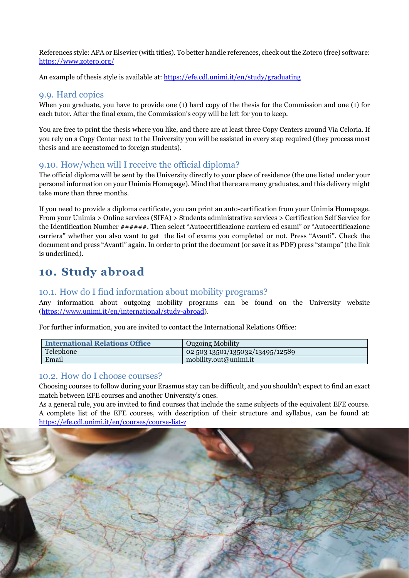References style: APA or Elsevier (with titles). To better handle references, check out the Zotero (free) software: <https://www.zotero.org/>

An example of thesis style is available at: https://efe.cdl.unimi.it/en/study/graduating

### <span id="page-23-0"></span>9.9. Hard copies

When you graduate, you have to provide one (1) hard copy of the thesis for the Commission and one (1) for each tutor. After the final exam, the Commission's copy will be left for you to keep.

You are free to print the thesis where you like, and there are at least three Copy Centers around Via Celoria. If you rely on a Copy Center next to the University you will be assisted in every step required (they process most thesis and are accustomed to foreign students).

### <span id="page-23-1"></span>9.10. How/when will I receive the official diploma?

The official diploma will be sent by the University directly to your place of residence (the one listed under your personal information on your Unimia Homepage). Mind that there are many graduates, and this delivery might take more than three months.

If you need to provide a diploma certificate, you can print an auto-certification from your Unimia Homepage. From your Unimia > Online services (SIFA) > Students administrative services > [Certification Self Service for](http://unimia.unimi.it/portal/server.pt/community/unimia/207/servizi_sifa/8994)  [the Identification Number ######](http://unimia.unimi.it/portal/server.pt/community/unimia/207/servizi_sifa/8994). Then select "Autocertificazione carriera ed esami" or "Autocertificazione carriera" whether you also want to get the list of exams you completed or not. Press "Avanti". Check the document and press "Avanti" again. In order to print the document (or save it as PDF) press "stampa" (the link is underlined).

### <span id="page-23-2"></span>**10. Study abroad**

### <span id="page-23-3"></span>10.1. How do I find information about mobility programs?

Any information about outgoing mobility programs can be found on the University website [\(https://www.unimi.it/en/international/study-abroad\)](https://www.unimi.it/en/international/study-abroad).

For further information, you are invited to contact the International Relations Office:

| <b>International Relations Office</b> | <b>Ougoing Mobility</b>                          |
|---------------------------------------|--------------------------------------------------|
| Telephone                             | $\left[02\,503\,13501/135032/13495/12589\right]$ |
| Email                                 | mobility.out@unimi.it                            |

### <span id="page-23-4"></span>10.2. How do I choose courses?

Choosing courses to follow during your Erasmus stay can be difficult, and you shouldn't expect to find an exact match between EFE courses and another University's ones.

As a general rule, you are invited to find courses that include the same subjects of the equivalent EFE course. A complete list of the EFE courses, with description of their structure and syllabus, can be found at: <https://efe.cdl.unimi.it/en/courses/course-list-z>